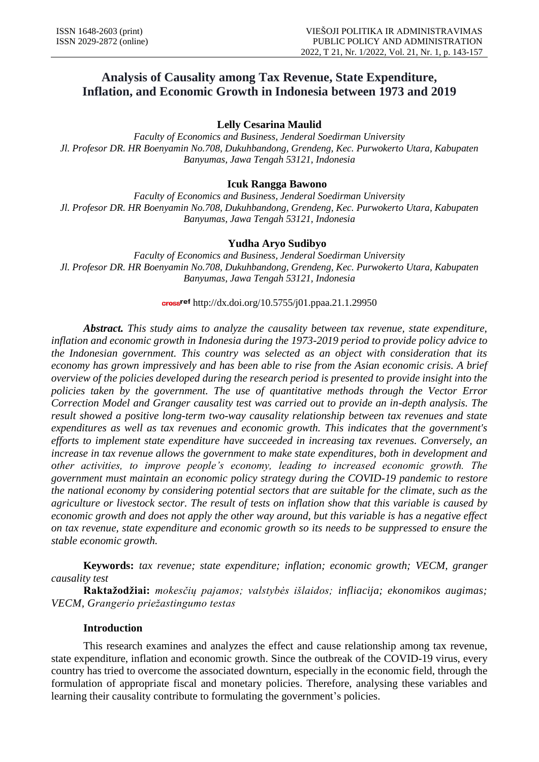# **Analysis of Causality among Tax Revenue, State Expenditure, Inflation, and Economic Growth in Indonesia between 1973 and 2019**

**Lelly Cesarina Maulid** 

*Faculty of Economics and Business, Jenderal Soedirman University Jl. Profesor DR. HR Boenyamin No.708, Dukuhbandong, Grendeng, Kec. Purwokerto Utara, Kabupaten Banyumas, Jawa Tengah 53121, Indonesia*

# **Icuk Rangga Bawono**

*Faculty of Economics and Business, Jenderal Soedirman University Jl. Profesor DR. HR Boenyamin No.708, Dukuhbandong, Grendeng, Kec. Purwokerto Utara, Kabupaten Banyumas, Jawa Tengah 53121, Indonesia* 

# **Yudha Aryo Sudibyo**

*Faculty of Economics and Business, Jenderal Soedirman University Jl. Profesor DR. HR Boenyamin No.708, Dukuhbandong, Grendeng, Kec. Purwokerto Utara, Kabupaten Banyumas, Jawa Tengah 53121, Indonesia*

## cross<sup>ref</sup> http://dx.doi.org/10.5755/j01.ppaa.21.1.29950

*Abstract. This study aims to analyze the causality between tax revenue, state expenditure, inflation and economic growth in Indonesia during the 1973-2019 period to provide policy advice to the Indonesian government. This country was selected as an object with consideration that its economy has grown impressively and has been able to rise from the Asian economic crisis. A brief overview of the policies developed during the research period is presented to provide insight into the policies taken by the government. The use of quantitative methods through the Vector Error Correction Model and Granger causality test was carried out to provide an in-depth analysis. The result showed a positive long-term two-way causality relationship between tax revenues and state expenditures as well as tax revenues and economic growth. This indicates that the government's efforts to implement state expenditure have succeeded in increasing tax revenues. Conversely, an increase in tax revenue allows the government to make state expenditures, both in development and other activities, to improve people's economy, leading to increased economic growth. The government must maintain an economic policy strategy during the COVID-19 pandemic to restore the national economy by considering potential sectors that are suitable for the climate, such as the agriculture or livestock sector. The result of tests on inflation show that this variable is caused by economic growth and does not apply the other way around, but this variable is has a negative effect on tax revenue, state expenditure and economic growth so its needs to be suppressed to ensure the stable economic growth.* 

**Keywords:** *tax revenue; state expenditure; inflation; economic growth; VECM, granger causality test*

**Raktažodžiai:** *mokesčių pajamos; valstybės išlaidos; infliacija; ekonomikos augimas; VECM, Grangerio priežastingumo testas*

# **Introduction**

This research examines and analyzes the effect and cause relationship among tax revenue, state expenditure, inflation and economic growth. Since the outbreak of the COVID-19 virus, every country has tried to overcome the associated downturn, especially in the economic field, through the formulation of appropriate fiscal and monetary policies. Therefore, analysing these variables and learning their causality contribute to formulating the government's policies.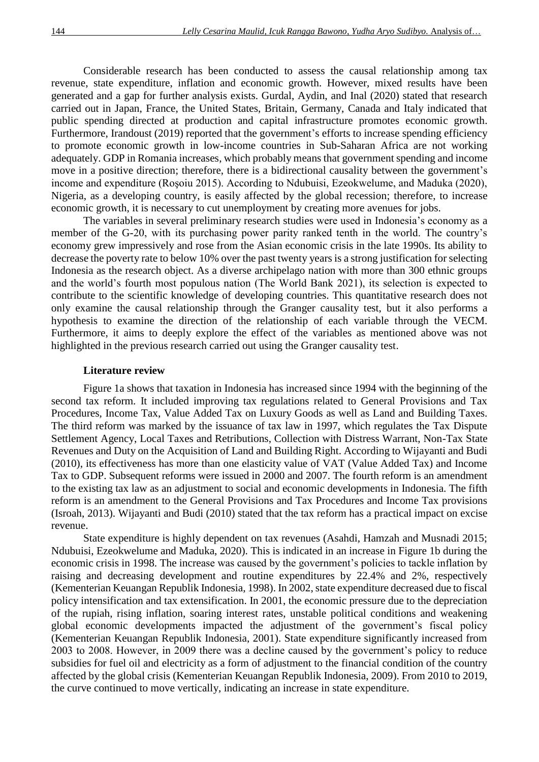Considerable research has been conducted to assess the causal relationship among tax revenue, state expenditure, inflation and economic growth. However, mixed results have been generated and a gap for further analysis exists. Gurdal, Aydin, and Inal (2020) stated that research carried out in Japan, France, the United States, Britain, Germany, Canada and Italy indicated that public spending directed at production and capital infrastructure promotes economic growth. Furthermore, Irandoust (2019) reported that the government's efforts to increase spending efficiency to promote economic growth in low-income countries in Sub-Saharan Africa are not working adequately. GDP in Romania increases, which probably means that government spending and income move in a positive direction; therefore, there is a bidirectional causality between the government's income and expenditure (Roşoiu 2015). According to Ndubuisi, Ezeokwelume, and Maduka (2020), Nigeria, as a developing country, is easily affected by the global recession; therefore, to increase economic growth, it is necessary to cut unemployment by creating more avenues for jobs.

The variables in several preliminary research studies were used in Indonesia's economy as a member of the G-20, with its purchasing power parity ranked tenth in the world. The country's economy grew impressively and rose from the Asian economic crisis in the late 1990s. Its ability to decrease the poverty rate to below 10% over the past twenty years is a strong justification for selecting Indonesia as the research object. As a diverse archipelago nation with more than 300 ethnic groups and the world's fourth most populous nation (The World Bank 2021), its selection is expected to contribute to the scientific knowledge of developing countries. This quantitative research does not only examine the causal relationship through the Granger causality test, but it also performs a hypothesis to examine the direction of the relationship of each variable through the VECM. Furthermore, it aims to deeply explore the effect of the variables as mentioned above was not highlighted in the previous research carried out using the Granger causality test.

#### **Literature review**

Figure 1a shows that taxation in Indonesia has increased since 1994 with the beginning of the second tax reform. It included improving tax regulations related to General Provisions and Tax Procedures, Income Tax, Value Added Tax on Luxury Goods as well as Land and Building Taxes. The third reform was marked by the issuance of tax law in 1997, which regulates the Tax Dispute Settlement Agency, Local Taxes and Retributions, Collection with Distress Warrant, Non-Tax State Revenues and Duty on the Acquisition of Land and Building Right. According to Wijayanti and Budi (2010), its effectiveness has more than one elasticity value of VAT (Value Added Tax) and Income Tax to GDP. Subsequent reforms were issued in 2000 and 2007. The fourth reform is an amendment to the existing tax law as an adjustment to social and economic developments in Indonesia. The fifth reform is an amendment to the General Provisions and Tax Procedures and Income Tax provisions (Isroah, 2013). Wijayanti and Budi (2010) stated that the tax reform has a practical impact on excise revenue.

State expenditure is highly dependent on tax revenues (Asahdi, Hamzah and Musnadi 2015; Ndubuisi, Ezeokwelume and Maduka, 2020). This is indicated in an increase in Figure 1b during the economic crisis in 1998. The increase was caused by the government's policies to tackle inflation by raising and decreasing development and routine expenditures by 22.4% and 2%, respectively (Kementerian Keuangan Republik Indonesia, 1998). In 2002, state expenditure decreased due to fiscal policy intensification and tax extensification. In 2001, the economic pressure due to the depreciation of the rupiah, rising inflation, soaring interest rates, unstable political conditions and weakening global economic developments impacted the adjustment of the government's fiscal policy (Kementerian Keuangan Republik Indonesia, 2001). State expenditure significantly increased from 2003 to 2008. However, in 2009 there was a decline caused by the government's policy to reduce subsidies for fuel oil and electricity as a form of adjustment to the financial condition of the country affected by the global crisis (Kementerian Keuangan Republik Indonesia, 2009). From 2010 to 2019, the curve continued to move vertically, indicating an increase in state expenditure.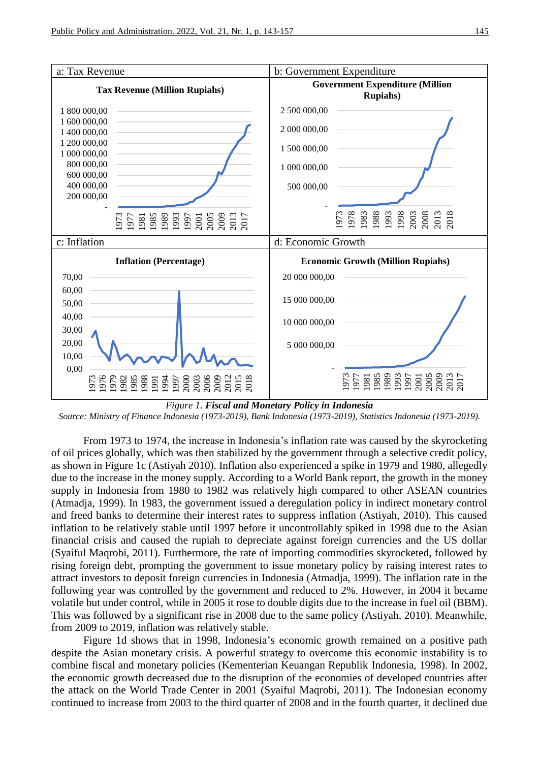

*Figure 1. Fiscal and Monetary Policy in Indonesia Source: Ministry of Finance Indonesia (1973-2019), Bank Indonesia (1973-2019), Statistics Indonesia (1973-2019).*

From 1973 to 1974, the increase in Indonesia's inflation rate was caused by the skyrocketing of oil prices globally, which was then stabilized by the government through a selective credit policy, as shown in Figure 1c (Astiyah 2010). Inflation also experienced a spike in 1979 and 1980, allegedly due to the increase in the money supply. According to a World Bank report, the growth in the money supply in Indonesia from 1980 to 1982 was relatively high compared to other ASEAN countries (Atmadja, 1999). In 1983, the government issued a deregulation policy in indirect monetary control and freed banks to determine their interest rates to suppress inflation (Astiyah, 2010). This caused inflation to be relatively stable until 1997 before it uncontrollably spiked in 1998 due to the Asian financial crisis and caused the rupiah to depreciate against foreign currencies and the US dollar (Syaiful Maqrobi, 2011). Furthermore, the rate of importing commodities skyrocketed, followed by rising foreign debt, prompting the government to issue monetary policy by raising interest rates to attract investors to deposit foreign currencies in Indonesia (Atmadja, 1999). The inflation rate in the following year was controlled by the government and reduced to 2%. However, in 2004 it became volatile but under control, while in 2005 it rose to double digits due to the increase in fuel oil (BBM). This was followed by a significant rise in 2008 due to the same policy (Astiyah, 2010). Meanwhile, from 2009 to 2019, inflation was relatively stable.

Figure 1d shows that in 1998, Indonesia's economic growth remained on a positive path despite the Asian monetary crisis. A powerful strategy to overcome this economic instability is to combine fiscal and monetary policies (Kementerian Keuangan Republik Indonesia, 1998). In 2002, the economic growth decreased due to the disruption of the economies of developed countries after the attack on the World Trade Center in 2001 (Syaiful Maqrobi, 2011). The Indonesian economy continued to increase from 2003 to the third quarter of 2008 and in the fourth quarter, it declined due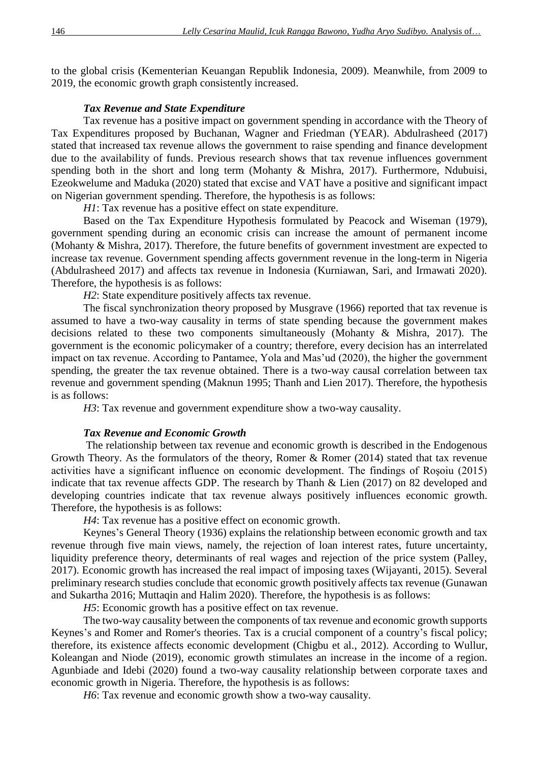to the global crisis (Kementerian Keuangan Republik Indonesia, 2009). Meanwhile, from 2009 to 2019, the economic growth graph consistently increased.

## *Tax Revenue and State Expenditure*

Tax revenue has a positive impact on government spending in accordance with the Theory of Tax Expenditures proposed by Buchanan, Wagner and Friedman (YEAR). Abdulrasheed (2017) stated that increased tax revenue allows the government to raise spending and finance development due to the availability of funds. Previous research shows that tax revenue influences government spending both in the short and long term (Mohanty & Mishra, 2017). Furthermore, Ndubuisi, Ezeokwelume and Maduka (2020) stated that excise and VAT have a positive and significant impact on Nigerian government spending. Therefore, the hypothesis is as follows:

*H1*: Tax revenue has a positive effect on state expenditure.

Based on the Tax Expenditure Hypothesis formulated by Peacock and Wiseman (1979), government spending during an economic crisis can increase the amount of permanent income (Mohanty & Mishra, 2017). Therefore, the future benefits of government investment are expected to increase tax revenue. Government spending affects government revenue in the long-term in Nigeria (Abdulrasheed 2017) and affects tax revenue in Indonesia (Kurniawan, Sari, and Irmawati 2020). Therefore, the hypothesis is as follows:

*H2*: State expenditure positively affects tax revenue.

The fiscal synchronization theory proposed by Musgrave (1966) reported that tax revenue is assumed to have a two-way causality in terms of state spending because the government makes decisions related to these two components simultaneously (Mohanty & Mishra, 2017). The government is the economic policymaker of a country; therefore, every decision has an interrelated impact on tax revenue. According to Pantamee, Yola and Mas'ud (2020), the higher the government spending, the greater the tax revenue obtained. There is a two-way causal correlation between tax revenue and government spending (Maknun 1995; Thanh and Lien 2017). Therefore, the hypothesis is as follows:

*H3*: Tax revenue and government expenditure show a two-way causality.

# *Tax Revenue and Economic Growth*

The relationship between tax revenue and economic growth is described in the Endogenous Growth Theory. As the formulators of the theory, Romer & Romer (2014) stated that tax revenue activities have a significant influence on economic development. The findings of Roşoiu (2015) indicate that tax revenue affects GDP. The research by Thanh & Lien (2017) on 82 developed and developing countries indicate that tax revenue always positively influences economic growth. Therefore, the hypothesis is as follows:

*H4*: Tax revenue has a positive effect on economic growth.

Keynes's General Theory (1936) explains the relationship between economic growth and tax revenue through five main views, namely, the rejection of loan interest rates, future uncertainty, liquidity preference theory, determinants of real wages and rejection of the price system (Palley, 2017). Economic growth has increased the real impact of imposing taxes (Wijayanti, 2015). Several preliminary research studies conclude that economic growth positively affects tax revenue (Gunawan and Sukartha 2016; Muttaqin and Halim 2020). Therefore, the hypothesis is as follows:

*H5*: Economic growth has a positive effect on tax revenue.

The two-way causality between the components of tax revenue and economic growth supports Keynes's and Romer and Romer's theories. Tax is a crucial component of a country's fiscal policy; therefore, its existence affects economic development (Chigbu et al., 2012). According to Wullur, Koleangan and Niode (2019), economic growth stimulates an increase in the income of a region. Agunbiade and Idebi (2020) found a two-way causality relationship between corporate taxes and economic growth in Nigeria. Therefore, the hypothesis is as follows:

*H6*: Tax revenue and economic growth show a two-way causality.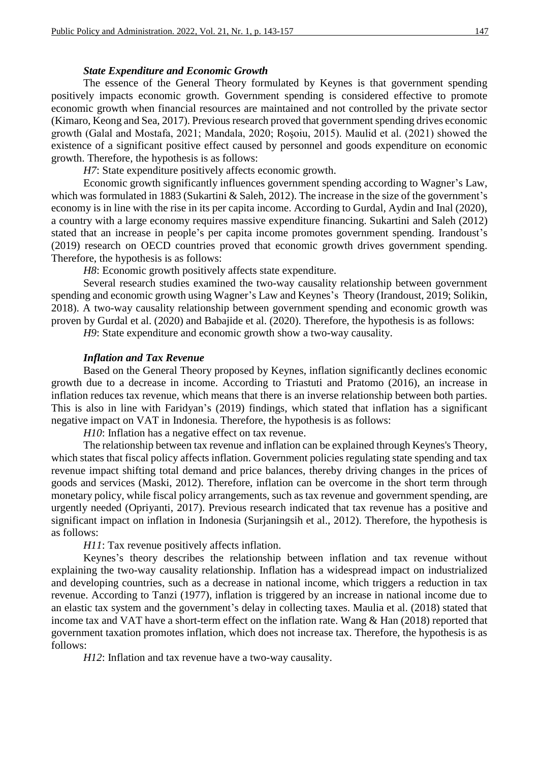#### *State Expenditure and Economic Growth*

The essence of the General Theory formulated by Keynes is that government spending positively impacts economic growth. Government spending is considered effective to promote economic growth when financial resources are maintained and not controlled by the private sector (Kimaro, Keong and Sea, 2017). Previous research proved that government spending drives economic growth (Galal and Mostafa, 2021; Mandala, 2020; Roşoiu, 2015). Maulid et al. (2021) showed the existence of a significant positive effect caused by personnel and goods expenditure on economic growth. Therefore, the hypothesis is as follows:

*H7*: State expenditure positively affects economic growth.

Economic growth significantly influences government spending according to Wagner's Law, which was formulated in 1883 (Sukartini & Saleh, 2012). The increase in the size of the government's economy is in line with the rise in its per capita income. According to Gurdal, Aydin and Inal (2020), a country with a large economy requires massive expenditure financing. Sukartini and Saleh (2012) stated that an increase in people's per capita income promotes government spending. Irandoust's (2019) research on OECD countries proved that economic growth drives government spending. Therefore, the hypothesis is as follows:

*H8*: Economic growth positively affects state expenditure.

Several research studies examined the two-way causality relationship between government spending and economic growth using Wagner's Law and Keynes's Theory (Irandoust, 2019; Solikin, 2018). A two-way causality relationship between government spending and economic growth was proven by Gurdal et al. (2020) and Babajide et al. (2020). Therefore, the hypothesis is as follows:

*H9*: State expenditure and economic growth show a two-way causality.

#### *Inflation and Tax Revenue*

Based on the General Theory proposed by Keynes, inflation significantly declines economic growth due to a decrease in income. According to Triastuti and Pratomo (2016), an increase in inflation reduces tax revenue, which means that there is an inverse relationship between both parties. This is also in line with Faridyan's (2019) findings, which stated that inflation has a significant negative impact on VAT in Indonesia. Therefore, the hypothesis is as follows:

*H10*: Inflation has a negative effect on tax revenue.

The relationship between tax revenue and inflation can be explained through Keynes's Theory, which states that fiscal policy affects inflation. Government policies regulating state spending and tax revenue impact shifting total demand and price balances, thereby driving changes in the prices of goods and services (Maski, 2012). Therefore, inflation can be overcome in the short term through monetary policy, while fiscal policy arrangements, such as tax revenue and government spending, are urgently needed (Opriyanti, 2017). Previous research indicated that tax revenue has a positive and significant impact on inflation in Indonesia (Surjaningsih et al., 2012). Therefore, the hypothesis is as follows:

*H11*: Tax revenue positively affects inflation.

Keynes's theory describes the relationship between inflation and tax revenue without explaining the two-way causality relationship. Inflation has a widespread impact on industrialized and developing countries, such as a decrease in national income, which triggers a reduction in tax revenue. According to Tanzi (1977), inflation is triggered by an increase in national income due to an elastic tax system and the government's delay in collecting taxes. Maulia et al. (2018) stated that income tax and VAT have a short-term effect on the inflation rate. Wang & Han (2018) reported that government taxation promotes inflation, which does not increase tax. Therefore, the hypothesis is as follows:

*H12*: Inflation and tax revenue have a two-way causality.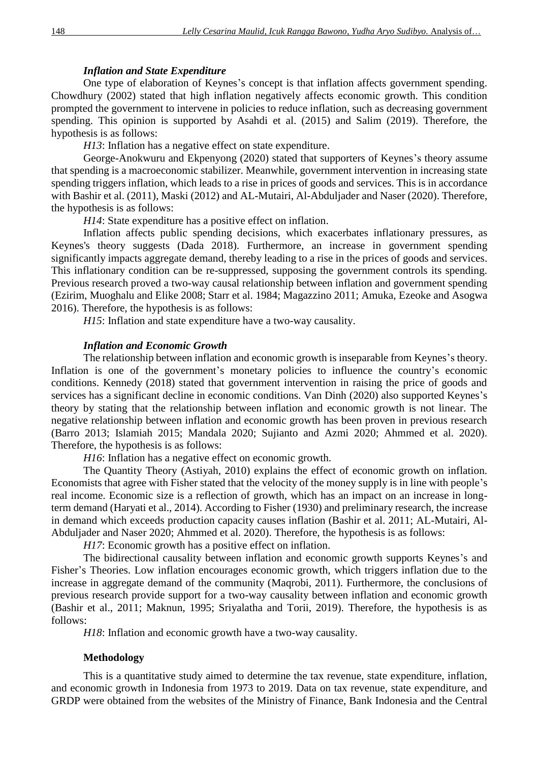# *Inflation and State Expenditure*

One type of elaboration of Keynes's concept is that inflation affects government spending. Chowdhury (2002) stated that high inflation negatively affects economic growth. This condition prompted the government to intervene in policies to reduce inflation, such as decreasing government spending. This opinion is supported by Asahdi et al. (2015) and Salim (2019). Therefore, the hypothesis is as follows:

*H13*: Inflation has a negative effect on state expenditure.

George-Anokwuru and Ekpenyong (2020) stated that supporters of Keynes's theory assume that spending is a macroeconomic stabilizer. Meanwhile, government intervention in increasing state spending triggers inflation, which leads to a rise in prices of goods and services. This is in accordance with Bashir et al. (2011), Maski (2012) and AL-Mutairi, Al-Abduljader and Naser (2020). Therefore, the hypothesis is as follows:

*H14*: State expenditure has a positive effect on inflation.

Inflation affects public spending decisions, which exacerbates inflationary pressures, as Keynes's theory suggests (Dada 2018). Furthermore, an increase in government spending significantly impacts aggregate demand, thereby leading to a rise in the prices of goods and services. This inflationary condition can be re-suppressed, supposing the government controls its spending. Previous research proved a two-way causal relationship between inflation and government spending (Ezirim, Muoghalu and Elike 2008; Starr et al. 1984; Magazzino 2011; Amuka, Ezeoke and Asogwa 2016). Therefore, the hypothesis is as follows:

*H15*: Inflation and state expenditure have a two-way causality.

#### *Inflation and Economic Growth*

The relationship between inflation and economic growth is inseparable from Keynes's theory. Inflation is one of the government's monetary policies to influence the country's economic conditions. Kennedy (2018) stated that government intervention in raising the price of goods and services has a significant decline in economic conditions. Van Dinh (2020) also supported Keynes's theory by stating that the relationship between inflation and economic growth is not linear. The negative relationship between inflation and economic growth has been proven in previous research (Barro 2013; Islamiah 2015; Mandala 2020; Sujianto and Azmi 2020; Ahmmed et al. 2020). Therefore, the hypothesis is as follows:

*H16*: Inflation has a negative effect on economic growth.

The Quantity Theory (Astiyah, 2010) explains the effect of economic growth on inflation. Economists that agree with Fisher stated that the velocity of the money supply is in line with people's real income. Economic size is a reflection of growth, which has an impact on an increase in longterm demand (Haryati et al., 2014). According to Fisher (1930) and preliminary research, the increase in demand which exceeds production capacity causes inflation (Bashir et al. 2011; AL-Mutairi, Al-Abduljader and Naser 2020; Ahmmed et al. 2020). Therefore, the hypothesis is as follows:

*H17*: Economic growth has a positive effect on inflation.

The bidirectional causality between inflation and economic growth supports Keynes's and Fisher's Theories. Low inflation encourages economic growth, which triggers inflation due to the increase in aggregate demand of the community (Maqrobi, 2011). Furthermore, the conclusions of previous research provide support for a two-way causality between inflation and economic growth (Bashir et al., 2011; Maknun, 1995; Sriyalatha and Torii, 2019). Therefore, the hypothesis is as follows:

*H18*: Inflation and economic growth have a two-way causality.

## **Methodology**

This is a quantitative study aimed to determine the tax revenue, state expenditure, inflation, and economic growth in Indonesia from 1973 to 2019. Data on tax revenue, state expenditure, and GRDP were obtained from the websites of the Ministry of Finance, Bank Indonesia and the Central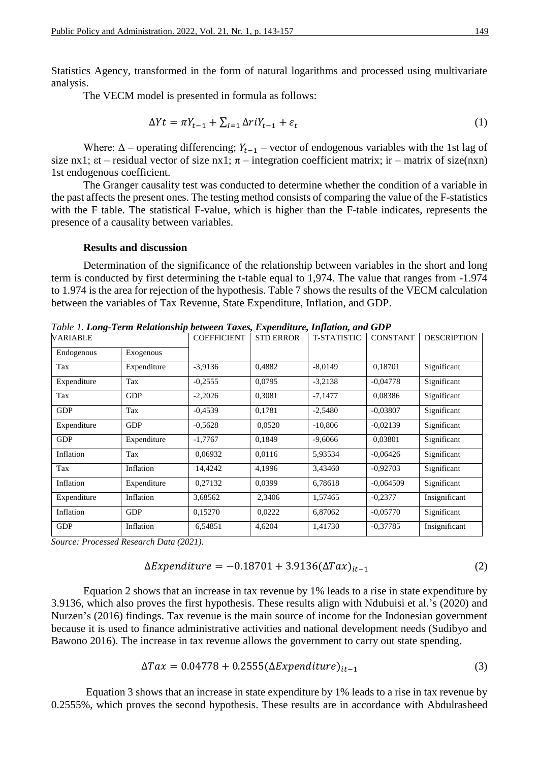Statistics Agency, transformed in the form of natural logarithms and processed using multivariate analysis.

The VECM model is presented in formula as follows:

$$
\Delta Yt = \pi Y_{t-1} + \sum_{l=1} \Delta r i Y_{t-1} + \varepsilon_t \tag{1}
$$

Where:  $\Delta$  – operating differencing;  $Y_{t-1}$  – vector of endogenous variables with the 1st lag of size nx1;  $\epsilon t$  – residual vector of size nx1;  $\pi$  – integration coefficient matrix; ir – matrix of size(nxn) 1st endogenous coefficient.

The Granger causality test was conducted to determine whether the condition of a variable in the past affects the present ones. The testing method consists of comparing the value of the F-statistics with the F table. The statistical F-value, which is higher than the F-table indicates, represents the presence of a causality between variables.

#### **Results and discussion**

Determination of the significance of the relationship between variables in the short and long term is conducted by first determining the t-table equal to 1,974. The value that ranges from -1.974 to 1.974 is the area for rejection of the hypothesis. Table 7 shows the results of the VECM calculation between the variables of Tax Revenue, State Expenditure, Inflation, and GDP.

| гале 1. Long-гени кешионsиф бенчеси талез, Елренаците, працоп, ана GD1<br>VARIABLE |             | <b>COEFFICIENT</b> | <b>STD ERROR</b> | <b>T-STATISTIC</b> | <b>CONSTANT</b> | <b>DESCRIPTION</b> |
|------------------------------------------------------------------------------------|-------------|--------------------|------------------|--------------------|-----------------|--------------------|
| Endogenous                                                                         | Exogenous   |                    |                  |                    |                 |                    |
| Tax                                                                                | Expenditure | $-3,9136$          | 0,4882           | $-8,0149$          | 0,18701         | Significant        |
| Expenditure                                                                        | Tax         | $-0,2555$          | 0,0795           | $-3,2138$          | $-0.04778$      | Significant        |
| Tax                                                                                | <b>GDP</b>  | $-2,2026$          | 0,3081           | $-7,1477$          | 0,08386         | Significant        |
| <b>GDP</b>                                                                         | Tax         | $-0,4539$          | 0,1781           | $-2,5480$          | $-0.03807$      | Significant        |
| Expenditure                                                                        | <b>GDP</b>  | $-0,5628$          | 0,0520           | $-10,806$          | $-0,02139$      | Significant        |
| <b>GDP</b>                                                                         | Expenditure | $-1,7767$          | 0,1849           | $-9,6066$          | 0,03801         | Significant        |
| Inflation                                                                          | Tax         | 0,06932            | 0,0116           | 5,93534            | $-0.06426$      | Significant        |
| Tax                                                                                | Inflation   | 14,4242            | 4,1996           | 3,43460            | $-0.92703$      | Significant        |
| Inflation                                                                          | Expenditure | 0,27132            | 0,0399           | 6,78618            | $-0.064509$     | Significant        |
| Expenditure                                                                        | Inflation   | 3,68562            | 2,3406           | 1,57465            | $-0,2377$       | Insignificant      |
| Inflation                                                                          | <b>GDP</b>  | 0,15270            | 0,0222           | 6,87062            | $-0.05770$      | Significant        |
| <b>GDP</b>                                                                         | Inflation   | 6,54851            | 4,6204           | 1,41730            | $-0,37785$      | Insignificant      |

*Table 1. Long-Term Relationship between Taxes, Expenditure, Inflation, and GDP*

*Source: Processed Research Data (2021).*

$$
\Delta Expenditure = -0.18701 + 3.9136(\Delta Tax)_{it-1}
$$
 (2)

Equation 2 shows that an increase in tax revenue by 1% leads to a rise in state expenditure by 3.9136, which also proves the first hypothesis. These results align with Ndubuisi et al.'s (2020) and Nurzen's (2016) findings. Tax revenue is the main source of income for the Indonesian government because it is used to finance administrative activities and national development needs (Sudibyo and Bawono 2016). The increase in tax revenue allows the government to carry out state spending.

$$
\Delta Tax = 0.04778 + 0.2555(\Delta Expenditure)_{it-1}
$$
\n(3)

Equation 3 shows that an increase in state expenditure by 1% leads to a rise in tax revenue by 0.2555%, which proves the second hypothesis. These results are in accordance with Abdulrasheed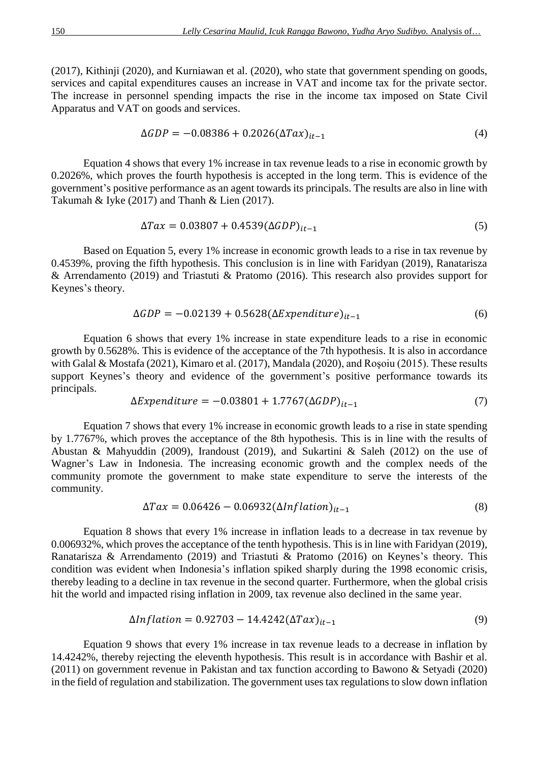(2017), Kithinji (2020), and Kurniawan et al. (2020), who state that government spending on goods, services and capital expenditures causes an increase in VAT and income tax for the private sector. The increase in personnel spending impacts the rise in the income tax imposed on State Civil Apparatus and VAT on goods and services.

$$
\Delta GDP = -0.08386 + 0.2026(\Delta Tax)_{it-1}
$$
\n(4)

Equation 4 shows that every 1% increase in tax revenue leads to a rise in economic growth by 0.2026%, which proves the fourth hypothesis is accepted in the long term. This is evidence of the government's positive performance as an agent towards its principals. The results are also in line with Takumah & Iyke (2017) and Thanh & Lien (2017).

$$
\Delta Tax = 0.03807 + 0.4539(\Delta GDP)_{it-1}
$$
\n(5)

Based on Equation 5, every 1% increase in economic growth leads to a rise in tax revenue by 0.4539%, proving the fifth hypothesis. This conclusion is in line with Faridyan (2019), Ranatarisza & Arrendamento (2019) and Triastuti & Pratomo (2016). This research also provides support for Keynes's theory.

$$
\Delta GDP = -0.02139 + 0.5628(\Delta Expenditure)_{it-1}
$$
 (6)

Equation 6 shows that every 1% increase in state expenditure leads to a rise in economic growth by 0.5628%. This is evidence of the acceptance of the 7th hypothesis. It is also in accordance with Galal & Mostafa (2021), Kimaro et al. (2017), Mandala (2020), and Roşoiu (2015). These results support Keynes's theory and evidence of the government's positive performance towards its principals.

$$
\Delta Expenditure = -0.03801 + 1.7767(\Delta GDP)_{it-1}
$$
\n(7)

Equation 7 shows that every 1% increase in economic growth leads to a rise in state spending by 1.7767%, which proves the acceptance of the 8th hypothesis. This is in line with the results of Abustan & Mahyuddin (2009), Irandoust (2019), and Sukartini & Saleh (2012) on the use of Wagner's Law in Indonesia. The increasing economic growth and the complex needs of the community promote the government to make state expenditure to serve the interests of the community.

$$
\Delta Tax = 0.06426 - 0.06932(\Delta Inflation)_{it-1}
$$
\n(8)

Equation 8 shows that every 1% increase in inflation leads to a decrease in tax revenue by 0.006932%, which proves the acceptance of the tenth hypothesis. This is in line with Faridyan (2019), Ranatarisza & Arrendamento (2019) and Triastuti & Pratomo (2016) on Keynes's theory. This condition was evident when Indonesia's inflation spiked sharply during the 1998 economic crisis, thereby leading to a decline in tax revenue in the second quarter. Furthermore, when the global crisis hit the world and impacted rising inflation in 2009, tax revenue also declined in the same year.

$$
\Delta Inflation = 0.92703 - 14.4242(\Delta Tax)_{it-1}
$$
\n(9)

Equation 9 shows that every 1% increase in tax revenue leads to a decrease in inflation by 14.4242%, thereby rejecting the eleventh hypothesis. This result is in accordance with Bashir et al. (2011) on government revenue in Pakistan and tax function according to Bawono & Setyadi (2020) in the field of regulation and stabilization. The government uses tax regulations to slow down inflation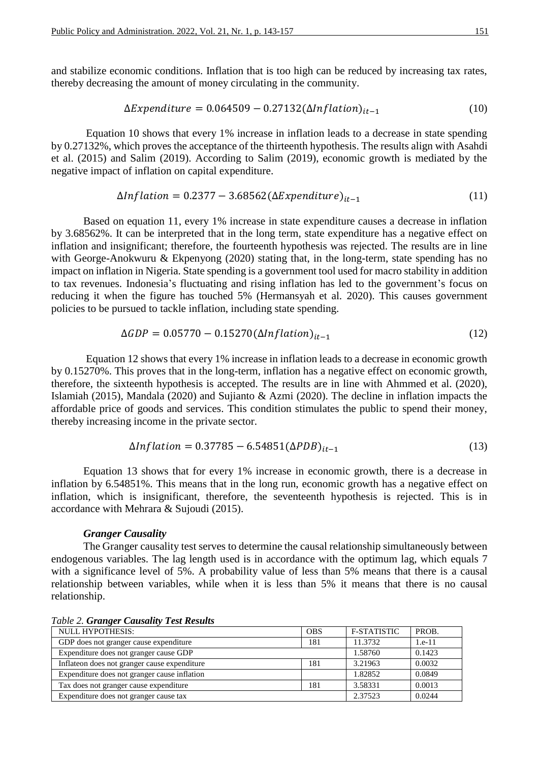and stabilize economic conditions. Inflation that is too high can be reduced by increasing tax rates, thereby decreasing the amount of money circulating in the community.

$$
\Delta Expenditure = 0.064509 - 0.27132(\Delta Inflation)_{it-1}
$$
 (10)

Equation 10 shows that every 1% increase in inflation leads to a decrease in state spending by 0.27132%, which proves the acceptance of the thirteenth hypothesis. The results align with Asahdi et al. (2015) and Salim (2019). According to Salim (2019), economic growth is mediated by the negative impact of inflation on capital expenditure.

$$
\Delta Inflation = 0.2377 - 3.68562(\Delta Expenditure)_{it-1}
$$
\n(11)

Based on equation 11, every 1% increase in state expenditure causes a decrease in inflation by 3.68562%. It can be interpreted that in the long term, state expenditure has a negative effect on inflation and insignificant; therefore, the fourteenth hypothesis was rejected. The results are in line with George-Anokwuru & Ekpenyong (2020) stating that, in the long-term, state spending has no impact on inflation in Nigeria. State spending is a government tool used for macro stability in addition to tax revenues. Indonesia's fluctuating and rising inflation has led to the government's focus on reducing it when the figure has touched 5% (Hermansyah et al. 2020). This causes government policies to be pursued to tackle inflation, including state spending.

$$
\Delta GDP = 0.05770 - 0.15270(\Delta Inflation)_{it-1}
$$
 (12)

Equation 12 shows that every 1% increase in inflation leads to a decrease in economic growth by 0.15270%. This proves that in the long-term, inflation has a negative effect on economic growth, therefore, the sixteenth hypothesis is accepted. The results are in line with Ahmmed et al. (2020), Islamiah (2015), Mandala (2020) and Sujianto & Azmi (2020). The decline in inflation impacts the affordable price of goods and services. This condition stimulates the public to spend their money, thereby increasing income in the private sector.

$$
\Delta Inflation = 0.37785 - 6.54851(\Delta PDB)_{it-1}
$$
 (13)

Equation 13 shows that for every 1% increase in economic growth, there is a decrease in inflation by 6.54851%. This means that in the long run, economic growth has a negative effect on inflation, which is insignificant, therefore, the seventeenth hypothesis is rejected. This is in accordance with Mehrara & Sujoudi (2015).

#### *Granger Causality*

The Granger causality test serves to determine the causal relationship simultaneously between endogenous variables. The lag length used is in accordance with the optimum lag, which equals 7 with a significance level of 5%. A probability value of less than 5% means that there is a causal relationship between variables, while when it is less than 5% it means that there is no causal relationship.

| <b>NULL HYPOTHESIS:</b>                       | <b>OBS</b> | <b>F-STATISTIC</b> | PROB.    |
|-----------------------------------------------|------------|--------------------|----------|
| GDP does not granger cause expenditure        | 181        | 11.3732            | $1.e-11$ |
| Expenditure does not granger cause GDP        |            | 1.58760            | 0.1423   |
| Inflate on does not granger cause expenditure | 181        | 3.21963            | 0.0032   |
| Expenditure does not granger cause inflation  |            | 1.82852            | 0.0849   |
| Tax does not granger cause expenditure        | 181        | 3.58331            | 0.0013   |
| Expenditure does not granger cause tax        |            | 2.37523            | 0.0244   |

*Table 2. Granger Causality Test Results*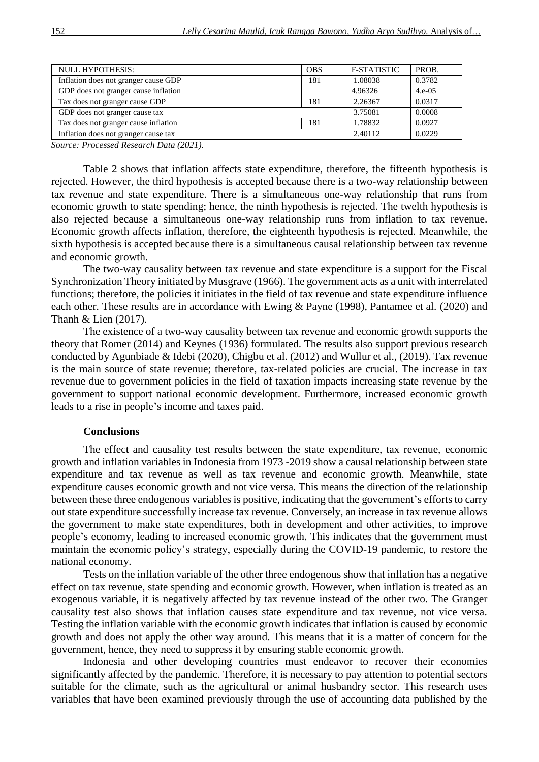| NULL HYPOTHESIS:                     |     | <b>F-STATISTIC</b> | PROB.    |
|--------------------------------------|-----|--------------------|----------|
| Inflation does not granger cause GDP |     | 1.08038            | 0.3782   |
| GDP does not granger cause inflation |     | 4.96326            | $4.e-05$ |
| Tax does not granger cause GDP       | 181 | 2.26367            | 0.0317   |
| GDP does not granger cause tax       |     | 3.75081            | 0.0008   |
| Tax does not granger cause inflation | 181 | 1.78832            | 0.0927   |
| Inflation does not granger cause tax |     | 2.40112            | 0.0229   |

*Source: Processed Research Data (2021).*

Table 2 shows that inflation affects state expenditure, therefore, the fifteenth hypothesis is rejected. However, the third hypothesis is accepted because there is a two-way relationship between tax revenue and state expenditure. There is a simultaneous one-way relationship that runs from economic growth to state spending; hence, the ninth hypothesis is rejected. The twelth hypothesis is also rejected because a simultaneous one-way relationship runs from inflation to tax revenue. Economic growth affects inflation, therefore, the eighteenth hypothesis is rejected. Meanwhile, the sixth hypothesis is accepted because there is a simultaneous causal relationship between tax revenue and economic growth.

The two-way causality between tax revenue and state expenditure is a support for the Fiscal Synchronization Theory initiated by Musgrave (1966). The government acts as a unit with interrelated functions; therefore, the policies it initiates in the field of tax revenue and state expenditure influence each other. These results are in accordance with Ewing & Payne (1998), Pantamee et al. (2020) and Thanh & Lien (2017).

The existence of a two-way causality between tax revenue and economic growth supports the theory that Romer (2014) and Keynes (1936) formulated. The results also support previous research conducted by Agunbiade & Idebi (2020), Chigbu et al. (2012) and Wullur et al., (2019). Tax revenue is the main source of state revenue; therefore, tax-related policies are crucial. The increase in tax revenue due to government policies in the field of taxation impacts increasing state revenue by the government to support national economic development. Furthermore, increased economic growth leads to a rise in people's income and taxes paid.

#### **Conclusions**

The effect and causality test results between the state expenditure, tax revenue, economic growth and inflation variables in Indonesia from 1973 -2019 show a causal relationship between state expenditure and tax revenue as well as tax revenue and economic growth. Meanwhile, state expenditure causes economic growth and not vice versa. This means the direction of the relationship between these three endogenous variables is positive, indicating that the government's efforts to carry out state expenditure successfully increase tax revenue. Conversely, an increase in tax revenue allows the government to make state expenditures, both in development and other activities, to improve people's economy, leading to increased economic growth. This indicates that the government must maintain the economic policy's strategy, especially during the COVID-19 pandemic, to restore the national economy.

Tests on the inflation variable of the other three endogenous show that inflation has a negative effect on tax revenue, state spending and economic growth. However, when inflation is treated as an exogenous variable, it is negatively affected by tax revenue instead of the other two. The Granger causality test also shows that inflation causes state expenditure and tax revenue, not vice versa. Testing the inflation variable with the economic growth indicates that inflation is caused by economic growth and does not apply the other way around. This means that it is a matter of concern for the government, hence, they need to suppress it by ensuring stable economic growth.

Indonesia and other developing countries must endeavor to recover their economies significantly affected by the pandemic. Therefore, it is necessary to pay attention to potential sectors suitable for the climate, such as the agricultural or animal husbandry sector. This research uses variables that have been examined previously through the use of accounting data published by the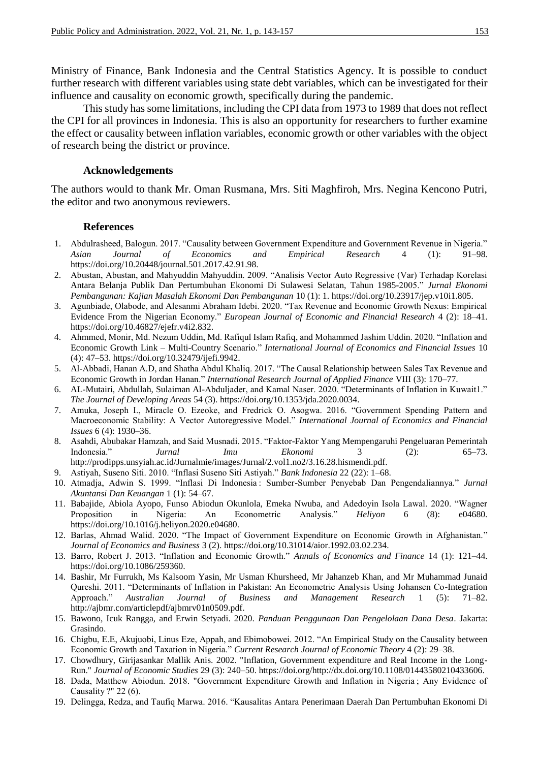Ministry of Finance, Bank Indonesia and the Central Statistics Agency. It is possible to conduct further research with different variables using state debt variables, which can be investigated for their influence and causality on economic growth, specifically during the pandemic.

This study has some limitations, including the CPI data from 1973 to 1989 that does not reflect the CPI for all provinces in Indonesia. This is also an opportunity for researchers to further examine the effect or causality between inflation variables, economic growth or other variables with the object of research being the district or province.

#### **Acknowledgements**

The authors would to thank Mr. Oman Rusmana, Mrs. Siti Maghfiroh, Mrs. Negina Kencono Putri, the editor and two anonymous reviewers.

#### **References**

- 1. Abdulrasheed, Balogun. 2017. "Causality between Government Expenditure and Government Revenue in Nigeria." *Asian Journal of Economics and Empirical Research* 4 (1): 91–98. https://doi.org/10.20448/journal.501.2017.42.91.98.
- 2. Abustan, Abustan, and Mahyuddin Mahyuddin. 2009. "Analisis Vector Auto Regressive (Var) Terhadap Korelasi Antara Belanja Publik Dan Pertumbuhan Ekonomi Di Sulawesi Selatan, Tahun 1985-2005." *Jurnal Ekonomi Pembangunan: Kajian Masalah Ekonomi Dan Pembangunan* 10 (1): 1. https://doi.org/10.23917/jep.v10i1.805.
- 3. Agunbiade, Olabode, and Alesanmi Abraham Idebi. 2020. "Tax Revenue and Economic Growth Nexus: Empirical Evidence From the Nigerian Economy." *European Journal of Economic and Financial Research* 4 (2): 18–41. https://doi.org/10.46827/ejefr.v4i2.832.
- 4. Ahmmed, Monir, Md. Nezum Uddin, Md. Rafiqul Islam Rafiq, and Mohammed Jashim Uddin. 2020. "Inflation and Economic Growth Link – Multi-Country Scenario." *International Journal of Economics and Financial Issues* 10 (4): 47–53. https://doi.org/10.32479/ijefi.9942.
- 5. Al-Abbadi, Hanan A.D, and Shatha Abdul Khaliq. 2017. "The Causal Relationship between Sales Tax Revenue and Economic Growth in Jordan Hanan." *International Research Journal of Applied Finance* VIII (3): 170–77.
- 6. AL-Mutairi, Abdullah, Sulaiman Al-Abduljader, and Kamal Naser. 2020. "Determinants of Inflation in Kuwait1." *The Journal of Developing Areas* 54 (3). https://doi.org/10.1353/jda.2020.0034.
- 7. Amuka, Joseph I., Miracle O. Ezeoke, and Fredrick O. Asogwa. 2016. "Government Spending Pattern and Macroeconomic Stability: A Vector Autoregressive Model." *International Journal of Economics and Financial Issues* 6 (4): 1930–36.
- 8. Asahdi, Abubakar Hamzah, and Said Musnadi. 2015. "Faktor-Faktor Yang Mempengaruhi Pengeluaran Pemerintah Indonesia." *Jurnal Imu Ekonomi* 3 (2): 65–73. http://prodipps.unsyiah.ac.id/Jurnalmie/images/Jurnal/2.vol1.no2/3.16.28.hismendi.pdf.
- 9. Astiyah, Suseno Siti. 2010. "Inflasi Suseno Siti Astiyah." *Bank Indonesia* 22 (22): 1–68.
- 10. Atmadja, Adwin S. 1999. "Inflasi Di Indonesia : Sumber-Sumber Penyebab Dan Pengendaliannya." *Jurnal Akuntansi Dan Keuangan* 1 (1): 54–67.
- 11. Babajide, Abiola Ayopo, Funso Abiodun Okunlola, Emeka Nwuba, and Adedoyin Isola Lawal. 2020. "Wagner Proposition in Nigeria: An Econometric Analysis." *Heliyon* 6 (8): e04680. https://doi.org/10.1016/j.heliyon.2020.e04680.
- 12. Barlas, Ahmad Walid. 2020. "The Impact of Government Expenditure on Economic Growth in Afghanistan." *Journal of Economics and Business* 3 (2). https://doi.org/10.31014/aior.1992.03.02.234.
- 13. Barro, Robert J. 2013. "Inflation and Economic Growth." *Annals of Economics and Finance* 14 (1): 121–44. https://doi.org/10.1086/259360.
- 14. Bashir, Mr Furrukh, Ms Kalsoom Yasin, Mr Usman Khursheed, Mr Jahanzeb Khan, and Mr Muhammad Junaid Qureshi. 2011. "Determinants of Inflation in Pakistan: An Econometric Analysis Using Johansen Co-Integration Approach." *Australian Journal of Business and Management Research* 1 (5): 71–82. http://ajbmr.com/articlepdf/ajbmrv01n0509.pdf.
- 15. Bawono, Icuk Rangga, and Erwin Setyadi. 2020. *Panduan Penggunaan Dan Pengelolaan Dana Desa*. Jakarta: Grasindo.
- 16. Chigbu, E.E, Akujuobi, Linus Eze, Appah, and Ebimobowei. 2012. "An Empirical Study on the Causality between Economic Growth and Taxation in Nigeria." *Current Research Journal of Economic Theory* 4 (2): 29–38.
- 17. Chowdhury, Girijasankar Mallik Anis. 2002. "Inflation, Government expenditure and Real Income in the Long-Run." *Journal of Economic Studies* 29 (3): 240–50. https://doi.org/http://dx.doi.org/10.1108/01443580210433606.
- 18. Dada, Matthew Abiodun. 2018. "Government Expenditure Growth and Inflation in Nigeria ; Any Evidence of Causality ?" 22 (6).
- 19. Delingga, Redza, and Taufiq Marwa. 2016. "Kausalitas Antara Penerimaan Daerah Dan Pertumbuhan Ekonomi Di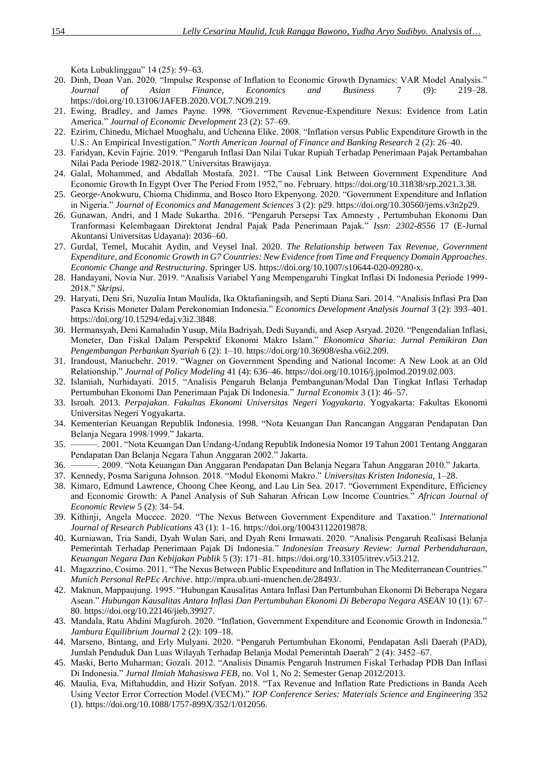Kota Lubuklinggau" 14 (25): 59–63.

- 20. Dinh, Doan Van. 2020. "Impulse Response of Inflation to Economic Growth Dynamics: VAR Model Analysis." *Journal of Asian Finance, Economics and Business* 7 (9): 219–28. https://doi.org/10.13106/JAFEB.2020.VOL7.NO9.219.
- 21. Ewing, Bradley, and James Payne. 1998. "Government Revenue-Expenditure Nexus: Evidence from Latin America." *Journal of Economic Development* 23 (2): 57–69.
- 22. Ezirim, Chinedu, Michael Muoghalu, and Uchenna Elike. 2008. "Inflation versus Public Expenditure Growth in the U.S.: An Empirical Investigation." *North American Journal of Finance and Banking Research* 2 (2): 26–40.
- 23. Faridyan, Kevin Fajrie. 2019. "Pengaruh Inflasi Dan Nilai Tukar Rupiah Terhadap Penerimaan Pajak Pertambahan Nilai Pada Periode 1982-2018." Universitas Brawijaya.
- 24. Galal, Mohammed, and Abdallah Mostafa. 2021. "The Causal Link Between Government Expenditure And Economic Growth In Egypt Over The Period From 1952," no. February. https://doi.org/10.31838/srp.2021.3.38.
- 25. George-Anokwuru, Chioma Chidinma, and Bosco Itoro Ekpenyong. 2020. "Government Expenditure and Inflation in Nigeria." *Journal of Economics and Management Sciences* 3 (2): p29. https://doi.org/10.30560/jems.v3n2p29.
- 26. Gunawan, Andri, and I Made Sukartha. 2016. "Pengaruh Persepsi Tax Amnesty , Pertumbuhan Ekonomi Dan Tranformasi Kelembagaan Direktorat Jendral Pajak Pada Penerimaan Pajak." *Issn: 2302-8556* 17 (E-Jurnal Akuntansi Universitas Udayana): 2036–60.
- 27. Gurdal, Temel, Mucahit Aydin, and Veysel Inal. 2020. *The Relationship between Tax Revenue, Government Expenditure, and Economic Growth in G7 Countries: New Evidence from Time and Frequency Domain Approaches*. *Economic Change and Restructuring*. Springer US. https://doi.org/10.1007/s10644-020-09280-x.
- 28. Handayani, Novia Nur. 2019. "Analisis Variabel Yang Mempengaruhi Tingkat Inflasi Di Indonesia Periode 1999- 2018." *Skripsi*.
- 29. Haryati, Deni Sri, Nuzulia Intan Maulida, Ika Oktafianingsih, and Septi Diana Sari. 2014. "Analisis Inflasi Pra Dan Pasca Krisis Moneter Dalam Perekonomian Indonesia." *Economics Development Analysis Journal* 3 (2): 393–401. https://doi.org/10.15294/edaj.v3i2.3848.
- 30. Hermansyah, Deni Kamaludin Yusup, Mila Badriyah, Dedi Suyandi, and Asep Asryad. 2020. "Pengendalian Inflasi, Moneter, Dan Fiskal Dalam Perspektif Ekonomi Makro Islam." *Ekonomica Sharia: Jurnal Pemikiran Dan Pengembangan Perbankan Syariah* 6 (2): 1–10. https://doi.org/10.36908/esha.v6i2.209.
- 31. Irandoust, Manuchehr. 2019. "Wagner on Government Spending and National Income: A New Look at an Old Relationship." *Journal of Policy Modeling* 41 (4): 636–46. https://doi.org/10.1016/j.jpolmod.2019.02.003.
- 32. Islamiah, Nurhidayati. 2015. "Analisis Pengaruh Belanja Pembangunan/Modal Dan Tingkat Inflasi Terhadap Pertumbuhan Ekonomi Dan Penerimaan Pajak Di Indonesia." *Jurnal Economix* 3 (1): 46–57.
- 33. Isroah. 2013. *Perpajakan*. *Fakultas Ekonomi Universitas Negeri Yogyakarta*. Yogyakarta: Fakultas Ekonomi Universitas Negeri Yogyakarta.
- 34. Kementerian Keuangan Republik Indonesia. 1998. "Nota Keuangan Dan Rancangan Anggaran Pendapatan Dan Belanja Negara 1998/1999." Jakarta.
- 35. ———. 2001. "Nota Keuangan Dan Undang-Undang Republik Indonesia Nomor 19 Tahun 2001 Tentang Anggaran Pendapatan Dan Belanja Negara Tahun Anggaran 2002." Jakarta.
- 36. ———. 2009. "Nota Keuangan Dan Anggaran Pendapatan Dan Belanja Negara Tahun Anggaran 2010." Jakarta.
- 37. Kennedy, Posma Sariguna Johnson. 2018. "Modul Ekonomi Makro." *Universitas Kristen Indonesia*, 1–28.
- 38. Kimaro, Edmund Lawrence, Choong Chee Keong, and Lau Lin Sea. 2017. "Government Expenditure, Efficiency and Economic Growth: A Panel Analysis of Sub Saharan African Low Income Countries." *African Journal of Economic Review* 5 (2): 34–54.
- 39. Kithinji, Angela Mucece. 2020. "The Nexus Between Government Expenditure and Taxation." *International Journal of Research Publications* 43 (1): 1–16. https://doi.org/100431122019878.
- 40. Kurniawan, Tria Sandi, Dyah Wulan Sari, and Dyah Reni Irmawati. 2020. "Analisis Pengaruh Realisasi Belanja Pemerintah Terhadap Penerimaan Pajak Di Indonesia." *Indonesian Treasury Review: Jurnal Perbendaharaan, Keuangan Negara Dan Kebijakan Publik* 5 (3): 171–81. https://doi.org/10.33105/itrev.v5i3.212.
- 41. Magazzino, Cosimo. 2011. "The Nexus Between Public Expenditure and Inflation in The Mediterranean Countries." *Munich Personal RePEc Archive*. http://mpra.ub.uni-muenchen.de/28493/.
- 42. Maknun, Mappaujung. 1995. "Hubungan Kausalitas Antara Inflasi Dan Pertumbuhan Ekonomi Di Beberapa Negara Asean." *Hubungan Kausalitas Antara Inflasi Dan Pertumbuhan Ekonomi Di Beberapa Negara ASEAN* 10 (1): 67– 80. https://doi.org/10.22146/jieb.39927.
- 43. Mandala, Ratu Ahdini Magfuroh. 2020. "Inflation, Government Expenditure and Economic Growth in Indonesia." *Jambura Equilibrium Journal* 2 (2): 109–18.
- 44. Marseno, Bintang, and Erly Mulyani. 2020. "Pengaruh Pertumbuhan Ekonomi, Pendapatan Asli Daerah (PAD), Jumlah Penduduk Dan Luas Wilayah Terhadap Belanja Modal Pemerintah Daerah" 2 (4): 3452–67.
- 45. Maski, Berto Muharman; Gozali. 2012. "Analisis Dinamis Pengaruh Instrumen Fiskal Terhadap PDB Dan Inflasi Di Indonesia." *Jurnal Ilmiah Mahasiswa FEB*, no. Vol 1, No 2: Semester Genap 2012/2013.
- 46. Maulia, Eva, Miftahuddin, and Hizir Sofyan. 2018. "Tax Revenue and Inflation Rate Predictions in Banda Aceh Using Vector Error Correction Model (VECM)." *IOP Conference Series: Materials Science and Engineering* 352 (1). https://doi.org/10.1088/1757-899X/352/1/012056.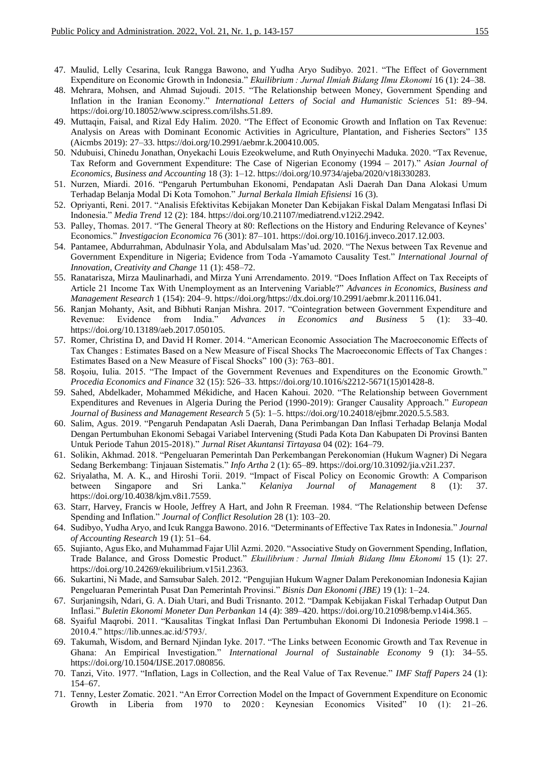- 47. Maulid, Lelly Cesarina, Icuk Rangga Bawono, and Yudha Aryo Sudibyo. 2021. "The Effect of Government Expenditure on Economic Growth in Indonesia." *Ekuilibrium : Jurnal Ilmiah Bidang Ilmu Ekonomi* 16 (1): 24–38.
- 48. Mehrara, Mohsen, and Ahmad Sujoudi. 2015. "The Relationship between Money, Government Spending and Inflation in the Iranian Economy." *International Letters of Social and Humanistic Sciences* 51: 89–94. https://doi.org/10.18052/www.scipress.com/ilshs.51.89.
- 49. Muttaqin, Faisal, and Rizal Edy Halim. 2020. "The Effect of Economic Growth and Inflation on Tax Revenue: Analysis on Areas with Dominant Economic Activities in Agriculture, Plantation, and Fisheries Sectors" 135 (Aicmbs 2019): 27–33. https://doi.org/10.2991/aebmr.k.200410.005.
- 50. Ndubuisi, Chinedu Jonathan, Onyekachi Louis Ezeokwelume, and Ruth Onyinyechi Maduka. 2020. "Tax Revenue, Tax Reform and Government Expenditure: The Case of Nigerian Economy (1994 – 2017)." *Asian Journal of Economics, Business and Accounting* 18 (3): 1–12. https://doi.org/10.9734/ajeba/2020/v18i330283.
- 51. Nurzen, Miardi. 2016. "Pengaruh Pertumbuhan Ekonomi, Pendapatan Asli Daerah Dan Dana Alokasi Umum Terhadap Belanja Modal Di Kota Tomohon." *Jurnal Berkala Ilmiah Efisiensi* 16 (3).
- 52. Opriyanti, Reni. 2017. "Analisis Efektivitas Kebijakan Moneter Dan Kebijakan Fiskal Dalam Mengatasi Inflasi Di Indonesia." *Media Trend* 12 (2): 184. https://doi.org/10.21107/mediatrend.v12i2.2942.
- 53. Palley, Thomas. 2017. "The General Theory at 80: Reflections on the History and Enduring Relevance of Keynes' Economics." *Investigacion Economica* 76 (301): 87–101. https://doi.org/10.1016/j.inveco.2017.12.003.
- 54. Pantamee, Abdurrahman, Abdulnasir Yola, and Abdulsalam Mas'ud. 2020. "The Nexus between Tax Revenue and Government Expenditure in Nigeria; Evidence from Toda -Yamamoto Causality Test." *International Journal of Innovation, Creativity and Change* 11 (1): 458–72.
- 55. Ranatarisza, Mirza Maulinarhadi, and Mirza Yuni Arrendamento. 2019. "Does Inflation Affect on Tax Receipts of Article 21 Income Tax With Unemployment as an Intervening Variable?" *Advances in Economics, Business and Management Research* 1 (154): 204–9. https://doi.org/https://dx.doi.org/10.2991/aebmr.k.201116.041.
- 56. Ranjan Mohanty, Asit, and Bibhuti Ranjan Mishra. 2017. "Cointegration between Government Expenditure and Revenue: Evidence from India." *Advances in Economics and Business* 5 (1): 33–40. https://doi.org/10.13189/aeb.2017.050105.
- 57. Romer, Christina D, and David H Romer. 2014. "American Economic Association The Macroeconomic Effects of Tax Changes : Estimates Based on a New Measure of Fiscal Shocks The Macroeconomic Effects of Tax Changes : Estimates Based on a New Measure of Fiscal Shocks" 100 (3): 763–801.
- 58. Roşoiu, Iulia. 2015. "The Impact of the Government Revenues and Expenditures on the Economic Growth." *Procedia Economics and Finance* 32 (15): 526–33. https://doi.org/10.1016/s2212-5671(15)01428-8.
- 59. Sahed, Abdelkader, Mohammed Mékidiche, and Hacen Kahoui. 2020. "The Relationship between Government Expenditures and Revenues in Algeria During the Period (1990-2019): Granger Causality Approach." *European Journal of Business and Management Research* 5 (5): 1–5. https://doi.org/10.24018/ejbmr.2020.5.5.583.
- 60. Salim, Agus. 2019. "Pengaruh Pendapatan Asli Daerah, Dana Perimbangan Dan Inflasi Terhadap Belanja Modal Dengan Pertumbuhan Ekonomi Sebagai Variabel Intervening (Studi Pada Kota Dan Kabupaten Di Provinsi Banten Untuk Periode Tahun 2015-2018)." *Jurnal Riset Akuntansi Tirtayasa* 04 (02): 164–79.
- 61. Solikin, Akhmad. 2018. "Pengeluaran Pemerintah Dan Perkembangan Perekonomian (Hukum Wagner) Di Negara Sedang Berkembang: Tinjauan Sistematis." *Info Artha* 2 (1): 65–89. https://doi.org/10.31092/jia.v2i1.237.
- 62. Sriyalatha, M. A. K., and Hiroshi Torii. 2019. "Impact of Fiscal Policy on Economic Growth: A Comparison between Singapore and Sri Lanka." *Kelaniya Journal of Management* 8 (1): 37. https://doi.org/10.4038/kjm.v8i1.7559.
- 63. Starr, Harvey, Francis w Hoole, Jeffrey A Hart, and John R Freeman. 1984. "The Relationship between Defense Spending and Inflation." *Journal of Conflict Resolution* 28 (1): 103–20.
- 64. Sudibyo, Yudha Aryo, and Icuk Rangga Bawono. 2016. "Determinants of Effective Tax Rates in Indonesia." *Journal of Accounting Research* 19 (1): 51–64.
- 65. Sujianto, Agus Eko, and Muhammad Fajar Ulil Azmi. 2020. "Associative Study on Government Spending, Inflation, Trade Balance, and Gross Domestic Product." *Ekuilibrium : Jurnal Ilmiah Bidang Ilmu Ekonomi* 15 (1): 27. https://doi.org/10.24269/ekuilibrium.v15i1.2363.
- 66. Sukartini, Ni Made, and Samsubar Saleh. 2012. "Pengujian Hukum Wagner Dalam Perekonomian Indonesia Kajian Pengeluaran Pemerintah Pusat Dan Pemerintah Provinsi." *Bisnis Dan Ekonomi (JBE)* 19 (1): 1–24.
- 67. Surjaningsih, Ndari, G. A. Diah Utari, and Budi Trisnanto. 2012. "Dampak Kebijakan Fiskal Terhadap Output Dan Inflasi." *Buletin Ekonomi Moneter Dan Perbankan* 14 (4): 389–420. https://doi.org/10.21098/bemp.v14i4.365.
- 68. Syaiful Maqrobi. 2011. "Kausalitas Tingkat Inflasi Dan Pertumbuhan Ekonomi Di Indonesia Periode 1998.1 2010.4." https://lib.unnes.ac.id/5793/.
- 69. Takumah, Wisdom, and Bernard Njindan Iyke. 2017. "The Links between Economic Growth and Tax Revenue in Ghana: An Empirical Investigation." *International Journal of Sustainable Economy* 9 (1): 34–55. https://doi.org/10.1504/IJSE.2017.080856.
- 70. Tanzi, Vito. 1977. "Inflation, Lags in Collection, and the Real Value of Tax Revenue." *IMF Staff Papers* 24 (1): 154–67.
- 71. Tenny, Lester Zomatic. 2021. "An Error Correction Model on the Impact of Government Expenditure on Economic Growth in Liberia from 1970 to 2020 : Keynesian Economics Visited" 10 (1): 21–26.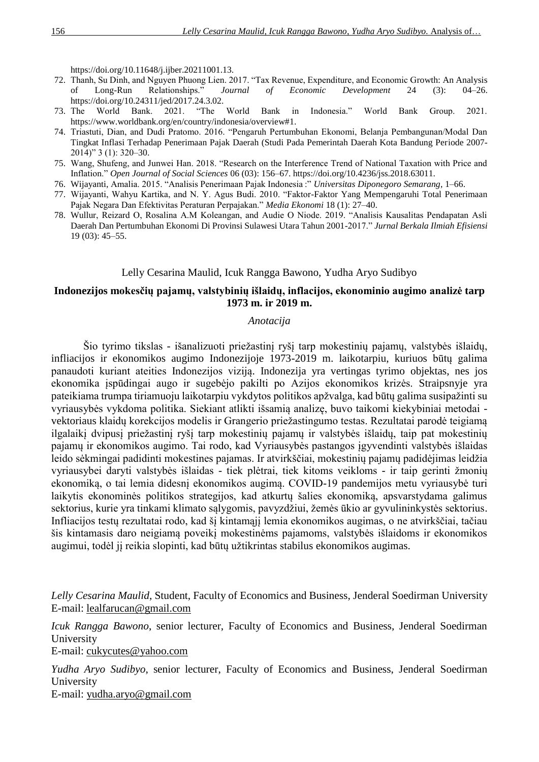https://doi.org/10.11648/j.ijber.20211001.13.

- 72. Thanh, Su Dinh, and Nguyen Phuong Lien. 2017. "Tax Revenue, Expenditure, and Economic Growth: An Analysis of Long-Run Relationships." *Journal of Economic Development* 24 (3): 04–26. https://doi.org/10.24311/jed/2017.24.3.02.
- 73. The World Bank. 2021. "The World Bank in Indonesia." World Bank Group. 2021. https://www.worldbank.org/en/country/indonesia/overview#1.
- 74. Triastuti, Dian, and Dudi Pratomo. 2016. "Pengaruh Pertumbuhan Ekonomi, Belanja Pembangunan/Modal Dan Tingkat Inflasi Terhadap Penerimaan Pajak Daerah (Studi Pada Pemerintah Daerah Kota Bandung Periode 2007- 2014)" 3 (1): 320–30.
- 75. Wang, Shufeng, and Junwei Han. 2018. "Research on the Interference Trend of National Taxation with Price and Inflation." *Open Journal of Social Sciences* 06 (03): 156–67. https://doi.org/10.4236/jss.2018.63011.
- 76. Wijayanti, Amalia. 2015. "Analisis Penerimaan Pajak Indonesia :" *Universitas Diponegoro Semarang*, 1–66.
- 77. Wijayanti, Wahyu Kartika, and N. Y. Agus Budi. 2010. "Faktor-Faktor Yang Mempengaruhi Total Penerimaan Pajak Negara Dan Efektivitas Peraturan Perpajakan." *Media Ekonomi* 18 (1): 27–40.
- 78. Wullur, Reizard O, Rosalina A.M Koleangan, and Audie O Niode. 2019. "Analisis Kausalitas Pendapatan Asli Daerah Dan Pertumbuhan Ekonomi Di Provinsi Sulawesi Utara Tahun 2001-2017." *Jurnal Berkala Ilmiah Efisiensi* 19 (03): 45–55.

## Lelly Cesarina Maulid, Icuk Rangga Bawono, Yudha Aryo Sudibyo

# **Indonezijos mokesčių pajamų, valstybinių išlaidų, inflacijos, ekonominio augimo analizė tarp 1973 m. ir 2019 m.**

## *Anotacija*

Šio tyrimo tikslas - išanalizuoti priežastinį ryšį tarp mokestinių pajamų, valstybės išlaidų, infliacijos ir ekonomikos augimo Indonezijoje 1973-2019 m. laikotarpiu, kuriuos būtų galima panaudoti kuriant ateities Indonezijos viziją. Indonezija yra vertingas tyrimo objektas, nes jos ekonomika įspūdingai augo ir sugebėjo pakilti po Azijos ekonomikos krizės. Straipsnyje yra pateikiama trumpa tiriamuoju laikotarpiu vykdytos politikos apžvalga, kad būtų galima susipažinti su vyriausybės vykdoma politika. Siekiant atlikti išsamią analizę, buvo taikomi kiekybiniai metodai vektoriaus klaidų korekcijos modelis ir Grangerio priežastingumo testas. Rezultatai parodė teigiamą ilgalaikį dvipusį priežastinį ryšį tarp mokestinių pajamų ir valstybės išlaidų, taip pat mokestinių pajamų ir ekonomikos augimo. Tai rodo, kad Vyriausybės pastangos įgyvendinti valstybės išlaidas leido sėkmingai padidinti mokestines pajamas. Ir atvirkščiai, mokestinių pajamų padidėjimas leidžia vyriausybei daryti valstybės išlaidas - tiek plėtrai, tiek kitoms veikloms - ir taip gerinti žmonių ekonomiką, o tai lemia didesnį ekonomikos augimą. COVID-19 pandemijos metu vyriausybė turi laikytis ekonominės politikos strategijos, kad atkurtų šalies ekonomiką, apsvarstydama galimus sektorius, kurie yra tinkami klimato sąlygomis, pavyzdžiui, žemės ūkio ar gyvulininkystės sektorius. Infliacijos testų rezultatai rodo, kad šį kintamąjį lemia ekonomikos augimas, o ne atvirkščiai, tačiau šis kintamasis daro neigiamą poveikį mokestinėms pajamoms, valstybės išlaidoms ir ekonomikos augimui, todėl jį reikia slopinti, kad būtų užtikrintas stabilus ekonomikos augimas.

*Lelly Cesarina Maulid*, Student, Faculty of Economics and Business, Jenderal Soedirman University E-mail: lealfarucan@gmail.com

*Icuk Rangga Bawono*, senior lecturer, Faculty of Economics and Business, Jenderal Soedirman University

E-mail: [cukycutes@yahoo.com](mailto:cukycutes@yahoo.com)

*Yudha Aryo Sudibyo*, senior lecturer, Faculty of Economics and Business, Jenderal Soedirman University E-mail: [yudha.aryo@gmail.com](mailto:yudha.aryo@gmail.com)